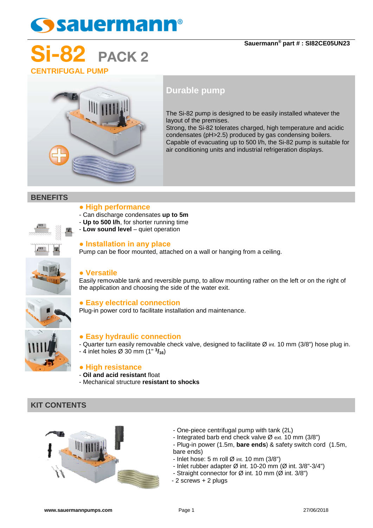# **Ssauermann®**

### **Sauermann® part # : SI82CE05UN23**

## PACK 2 **CENTRIFUGAL PUMP**



### **Durable pump**

The Si-82 pump is designed to be easily installed whatever the layout of the premises.

Strong, the Si-82 tolerates charged, high temperature and acidic condensates (pH>2.5) produced by gas condensing boilers. Capable of evacuating up to 500 l/h, the Si-82 pump is suitable for air conditioning units and industrial refrigeration displays.

### **BENEFITS**

### **● High performance**

- Can discharge condensates **up to 5m**
- **Up to 500 l/h**, for shorter running time
	- **Low sound level** quiet operation

### **● Installation in any place**

Pump can be floor mounted, attached on a wall or hanging from a ceiling.

### **● Versatile**

Easily removable tank and reversible pump, to allow mounting rather on the left or on the right of the application and choosing the side of the water exit.

### **● Easy electrical connection**

Plug-in power cord to facilitate installation and maintenance.

### **● Easy hydraulic connection**

- Quarter turn easily removable check valve, designed to facilitate Ø int. 10 mm (3/8") hose plug in. - 4 inlet holes Ø 30 mm (1" **3/16**)

### **● High resistance**

- **Oil and acid resistant** float
- Mechanical structure **resistant to shocks**

### **KIT CONTENTS**



- One-piece centrifugal pump with tank (2L)
- Integrated barb end check valve Ø ext. 10 mm (3/8")
- Plug-in power (1.5m, **bare ends**) & safety switch cord (1.5m, bare ends)
	- Inlet hose:  $5 \text{ m}$  roll  $\varnothing$  int.  $10 \text{ mm}$  (3/8")
	- Inlet rubber adapter  $\varnothing$  int. 10-20 mm ( $\varnothing$  int. 3/8"-3/4")
	- Straight connector for  $\varnothing$  int. 10 mm ( $\varnothing$  int. 3/8")
- 2 screws + 2 plugs